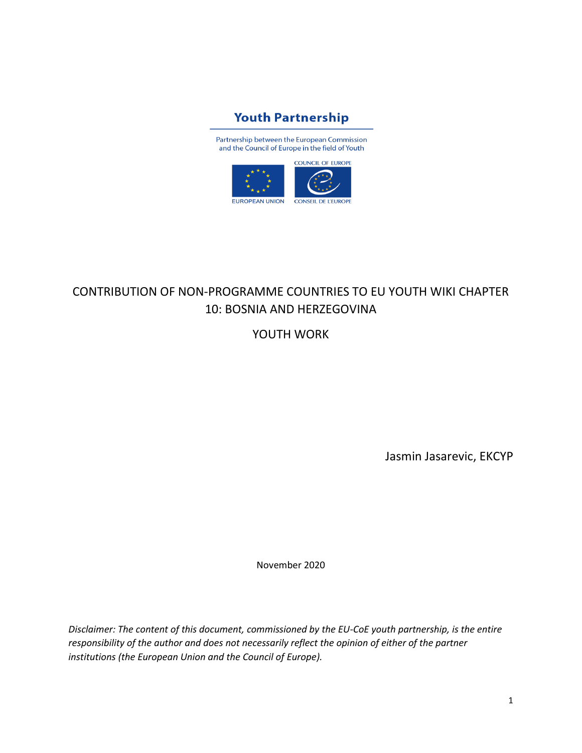

Partnership between the European Commission and the Council of Europe in the field of Youth



# CONTRIBUTION OF NON-PROGRAMME COUNTRIES TO EU YOUTH WIKI CHAPTER 10: BOSNIA AND HERZEGOVINA

YOUTH WORK

Jasmin Jasarevic, EKCYP

November 2020

*Disclaimer: The content of this document, commissioned by the EU-CoE youth partnership, is the entire responsibility of the author and does not necessarily reflect the opinion of either of the partner institutions (the European Union and the Council of Europe).*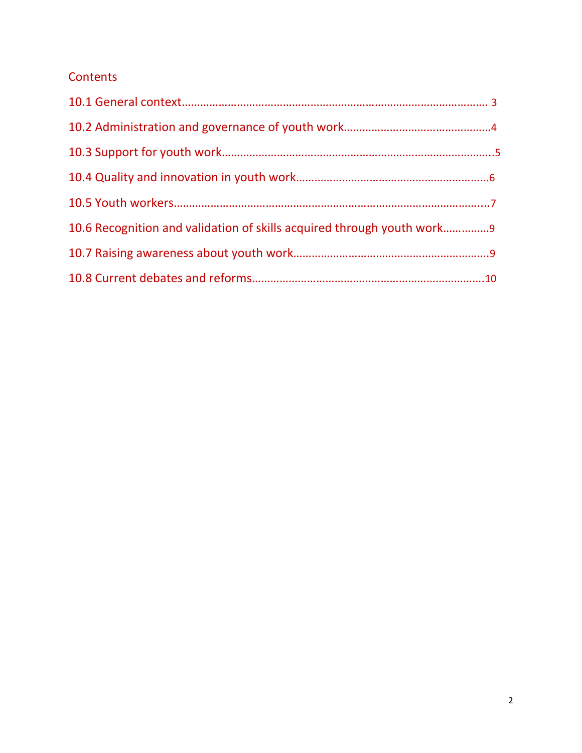# **Contents**

| 10.6 Recognition and validation of skills acquired through youth work |  |
|-----------------------------------------------------------------------|--|
|                                                                       |  |
|                                                                       |  |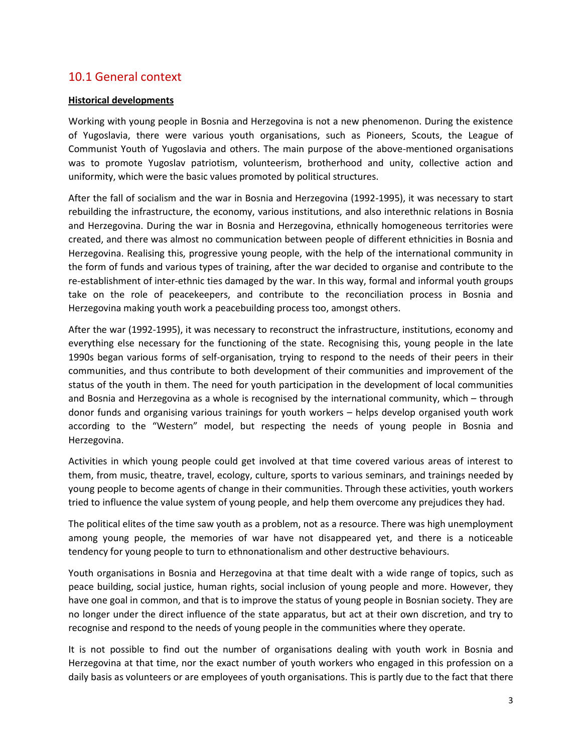# 10.1 General context

#### **Historical developments**

Working with young people in Bosnia and Herzegovina is not a new phenomenon. During the existence of Yugoslavia, there were various youth organisations, such as Pioneers, Scouts, the League of Communist Youth of Yugoslavia and others. The main purpose of the above-mentioned organisations was to promote Yugoslav patriotism, volunteerism, brotherhood and unity, collective action and uniformity, which were the basic values promoted by political structures.

After the fall of socialism and the war in Bosnia and Herzegovina (1992-1995), it was necessary to start rebuilding the infrastructure, the economy, various institutions, and also interethnic relations in Bosnia and Herzegovina. During the war in Bosnia and Herzegovina, ethnically homogeneous territories were created, and there was almost no communication between people of different ethnicities in Bosnia and Herzegovina. Realising this, progressive young people, with the help of the international community in the form of funds and various types of training, after the war decided to organise and contribute to the re-establishment of inter-ethnic ties damaged by the war. In this way, formal and informal youth groups take on the role of peacekeepers, and contribute to the reconciliation process in Bosnia and Herzegovina making youth work a peacebuilding process too, amongst others.

After the war (1992-1995), it was necessary to reconstruct the infrastructure, institutions, economy and everything else necessary for the functioning of the state. Recognising this, young people in the late 1990s began various forms of self-organisation, trying to respond to the needs of their peers in their communities, and thus contribute to both development of their communities and improvement of the status of the youth in them. The need for youth participation in the development of local communities and Bosnia and Herzegovina as a whole is recognised by the international community, which – through donor funds and organising various trainings for youth workers – helps develop organised youth work according to the "Western" model, but respecting the needs of young people in Bosnia and Herzegovina.

Activities in which young people could get involved at that time covered various areas of interest to them, from music, theatre, travel, ecology, culture, sports to various seminars, and trainings needed by young people to become agents of change in their communities. Through these activities, youth workers tried to influence the value system of young people, and help them overcome any prejudices they had.

The political elites of the time saw youth as a problem, not as a resource. There was high unemployment among young people, the memories of war have not disappeared yet, and there is a noticeable tendency for young people to turn to ethnonationalism and other destructive behaviours.

Youth organisations in Bosnia and Herzegovina at that time dealt with a wide range of topics, such as peace building, social justice, human rights, social inclusion of young people and more. However, they have one goal in common, and that is to improve the status of young people in Bosnian society. They are no longer under the direct influence of the state apparatus, but act at their own discretion, and try to recognise and respond to the needs of young people in the communities where they operate.

It is not possible to find out the number of organisations dealing with youth work in Bosnia and Herzegovina at that time, nor the exact number of youth workers who engaged in this profession on a daily basis as volunteers or are employees of youth organisations. This is partly due to the fact that there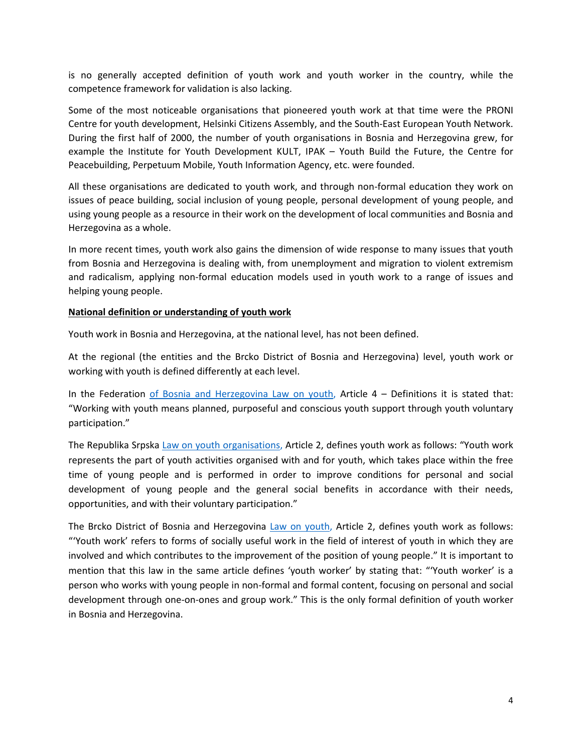is no generally accepted definition of youth work and youth worker in the country, while the competence framework for validation is also lacking.

Some of the most noticeable organisations that pioneered youth work at that time were the PRONI Centre for youth development, Helsinki Citizens Assembly, and the South-East European Youth Network. During the first half of 2000, the number of youth organisations in Bosnia and Herzegovina grew, for example the Institute for Youth Development KULT, IPAK – Youth Build the Future, the Centre for Peacebuilding, Perpetuum Mobile, Youth Information Agency, etc. were founded.

All these organisations are dedicated to youth work, and through non-formal education they work on issues of peace building, social inclusion of young people, personal development of young people, and using young people as a resource in their work on the development of local communities and Bosnia and Herzegovina as a whole.

In more recent times, youth work also gains the dimension of wide response to many issues that youth from Bosnia and Herzegovina is dealing with, from unemployment and migration to violent extremism and radicalism, applying non-formal education models used in youth work to a range of issues and helping young people.

#### **National definition or understanding of youth work**

Youth work in Bosnia and Herzegovina, at the national level, has not been defined.

At the regional (the entities and the Brcko District of Bosnia and Herzegovina) level, youth work or working with youth is defined differently at each level.

In the Federation [of Bosnia and Herzegovina](https://www.google.com/url?sa=t&rct=j&q=&esrc=s&source=web&cd=&ved=2ahUKEwj6uYvmmIXtAhXI-yoKHSw1DT0QFjABegQIAhAC&url=https%3A%2F%2Fwww.vijecemladih.ba%2Fwp-content%2Fuploads%2F2016%2F12%2FZakon-o-mladima.pdf&usg=AOvVaw2exU07uhZI50v75_M-S1AV) Law on youth, Article 4 – Definitions it is stated that: "Working with youth means planned, purposeful and conscious youth support through youth voluntary participation."

The Republika Srpska [Law on youth organisations](https://www.google.com/url?sa=t&rct=j&q=&esrc=s&source=web&cd=&ved=2ahUKEwij8eWFmoXtAhXl-ioKHTaiAJEQFjAAegQIAhAC&url=https%3A%2F%2Fwww.vladars.net%2Feng%2Fvlada%2Fministries%2FMFYS%2FDocuments%2FLaw%2520on%2520youth%2520organization_125445029.pdf&usg=AOvVaw2jp6LFVKjxgjo_i6n1Gsg_), Article 2, defines youth work as follows: "Youth work represents the part of youth activities organised with and for youth, which takes place within the free time of young people and is performed in order to improve conditions for personal and social development of young people and the general social benefits in accordance with their needs, opportunities, and with their voluntary participation."

The Brcko District of Bosnia and Herzegovina [Law on youth,](https://skupstinabd.ba/ba/zakon.html?lang=ba&id=/Zakon%20o%20mladima%20Brc--ko%20distrikta%20BiH) Article 2, defines youth work as follows: "'Youth work' refers to forms of socially useful work in the field of interest of youth in which they are involved and which contributes to the improvement of the position of young people." It is important to mention that this law in the same article defines 'youth worker' by stating that: "'Youth worker' is a person who works with young people in non-formal and formal content, focusing on personal and social development through one-on-ones and group work." This is the only formal definition of youth worker in Bosnia and Herzegovina.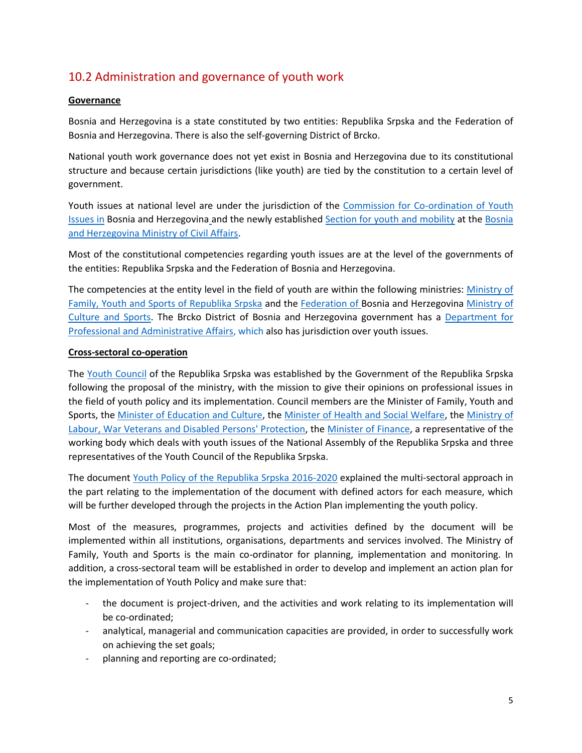# 10.2 Administration and governance of youth work

#### **Governance**

Bosnia and Herzegovina is a state constituted by two entities: Republika Srpska and the Federation of Bosnia and Herzegovina. There is also the self-governing District of Brcko.

National youth work governance does not yet exist in Bosnia and Herzegovina due to its constitutional structure and because certain jurisdictions (like youth) are tied by the constitution to a certain level of government.

Youth issues at national level are under the jurisdiction of the [Commission for Co-ordination of Youth](http://www.mladi.gov.ba/index.php?option=com_content&task=view&id=35&Itemid=35)  Issues in [Bosnia and Herzegovina](http://www.mladi.gov.ba/index.php?option=com_content&task=view&id=35&Itemid=35) and the newly established [Section for youth and mobility](http://www.mcp.gov.ba/Content/Read/obrazovanje-po%C4%8Detna#displayed) at the [Bosnia](http://www.mcp.gov.ba/Content/Read/obrazovanje-po%C4%8Detna)  [and Herzegovina Ministry of Civil Affairs.](http://www.mcp.gov.ba/Content/Read/obrazovanje-po%C4%8Detna)

Most of the constitutional competencies regarding youth issues are at the level of the governments of the entities: Republika Srpska and the Federation of Bosnia and Herzegovina.

The competencies at the entity level in the field of youth are within the following ministries: Ministry of [Family, Youth and Sports of Republika](http://www.vladars.net/eng/vlada/ministries/MFYS/doy/Pages/default.aspx) Srpska and the [Federation of Bosnia and Herzegovina](http://www.fmks.gov.ba/o-ministarstvu/centar-za-mlade) Ministry of [Culture and Sports.](http://www.fmks.gov.ba/o-ministarstvu/centar-za-mlade) The Brcko District of Bosnia and Herzegovina government has a [Department for](http://sap.bdcentral.net/)  [Professional and Administrative Affairs,](http://sap.bdcentral.net/) which also has jurisdiction over youth issues.

#### **Cross-sectoral co-operation**

The [Youth Council](http://www.vladars.net/sr-SP-Cyrl/Vlada/Ministarstva/mpos/media/vijesti/Pages/Odrzana_konstitutivna_sjednica_Savjeta_za_mlade_Republike_Srpske.aspx) of the Republika Srpska was established by the Government of the Republika Srpska following the proposal of the ministry, with the mission to give their opinions on professional issues in the field of youth policy and its implementation. Council members are the Minister of Family, Youth and Sports, the [Minister of Education and Culture,](http://www.vladars.net/eng/vlada/ministries/MEC/Pages/default.aspx) the [Minister of Health and Social Welfare,](http://www.vladars.net/eng/vlada/ministries/MHSW/Pages/default.aspx) the [Ministry of](http://www.vladars.net/eng/vlada/ministries/MLVIP/Pages/default.aspx)  [Labour, War Veterans and Disabled Persons' Protection,](http://www.vladars.net/eng/vlada/ministries/MLVIP/Pages/default.aspx) the [Minister of Finance,](http://www.vladars.net/eng/vlada/ministries/MoF/Pages/default.aspx) a representative of the working body which deals with youth issues of the National Assembly of the Republika Srpska and three representatives of the Youth Council of the Republika Srpska.

The document [Youth Policy of the Republika](https://www.google.com/url?sa=t&rct=j&q=&esrc=s&source=web&cd=&ved=2ahUKEwi2jOCGr6LtAhWNkxQKHXYxB9QQFjAAegQIBRAC&url=https%3A%2F%2Fwww.vladars.net%2Fsr-SP-Cyrl%2FVlada%2FMinistarstva%2Fmpos%2FDocuments%2F%25D0%259E%25D0%25BC%25D0%25BB%25D0%25B0%25D0%25B4%25D0%25B8%25D0%25BD%25D1%2581%25D0%25BA%25D0%25B0%2520%25D0%25BF%25D0%25BE%25D0%25BB%25D0%25B8%25D1%2582%25D0%25B8%25D0%25BA%25D0%25B0%2520%25D0%25A0%25D0%25B5%25D0%25BF%25D1%2583%25D0%25B1%25D0%25BB%25D0%25B8%25D0%25BA%25D0%25B5%2520%25D0%25A1%25D1%2580%25D0%25BF%25D1%2581%25D0%25BA%25D0%25B5%2520%25D0%25BE%25D0%25B4%25202016.%2520%25D0%25B4%25D0%25BE%25202020.%2520%25D0%25B3%25D0%25BE%25D0%25B4%25D0%25B8%25D0%25BD%25D0%25B5_429219492.pdf&usg=AOvVaw1nCqSYdYUcBFARocq0Gkl2) Srpska 2016-2020 explained the multi-sectoral approach in the part relating to the implementation of the document with defined actors for each measure, which will be further developed through the projects in the Action Plan implementing the youth policy.

Most of the measures, programmes, projects and activities defined by the document will be implemented within all institutions, organisations, departments and services involved. The Ministry of Family, Youth and Sports is the main co-ordinator for planning, implementation and monitoring. In addition, a cross-sectoral team will be established in order to develop and implement an action plan for the implementation of Youth Policy and make sure that:

- the document is project-driven, and the activities and work relating to its implementation will be co-ordinated;
- analytical, managerial and communication capacities are provided, in order to successfully work on achieving the set goals;
- planning and reporting are co-ordinated;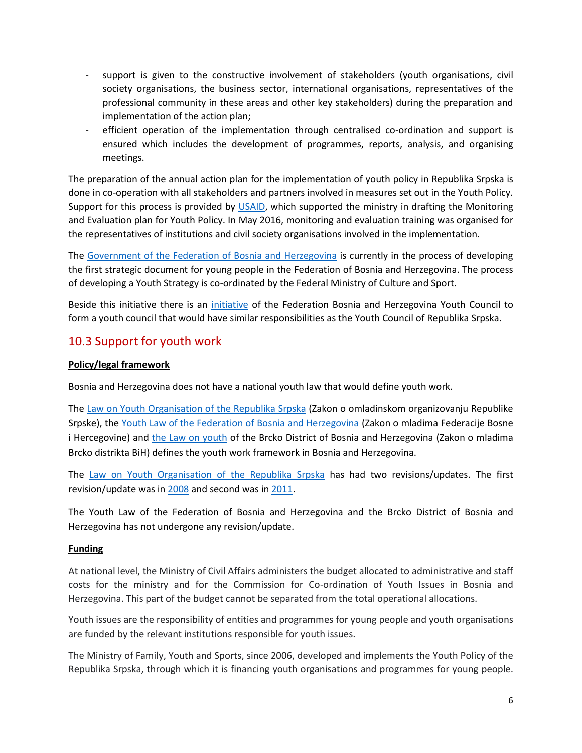- support is given to the constructive involvement of stakeholders (youth organisations, civil society organisations, the business sector, international organisations, representatives of the professional community in these areas and other key stakeholders) during the preparation and implementation of the action plan;
- efficient operation of the implementation through centralised co-ordination and support is ensured which includes the development of programmes, reports, analysis, and organising meetings.

The preparation of the annual action plan for the implementation of youth policy in Republika Srpska is done in co-operation with all stakeholders and partners involved in measures set out in the Youth Policy. Support for this process is provided by [USAID,](https://www.usaid.gov/bosnia-and-herzigovina/our-work) which supported the ministry in drafting the Monitoring and Evaluation plan for Youth Policy. In May 2016, monitoring and evaluation training was organised for the representatives of institutions and civil society organisations involved in the implementation.

The [Government of the Federation of Bosnia and Herzegovina](http://www.fbihvlada.gov.ba/english/) is currently in the process of developing the first strategic document for young people in the Federation of Bosnia and Herzegovina. The process of developing a Youth Strategy is co-ordinated by the Federal Ministry of Culture and Sport.

Beside this initiative there is an [initiative](https://www.vijecemladih.ba/savjetzamladefbih/) of the Federation Bosnia and Herzegovina Youth Council to form a youth council that would have similar responsibilities as the Youth Council of Republika Srpska.

# 10.3 Support for youth work

#### **Policy/legal framework**

Bosnia and Herzegovina does not have a national youth law that would define youth work.

The [Law on Youth Organisation of the Republika](https://goo.gl/bMRQ8L) Srpska (Zakon o omladinskom organizovanju Republike Srpske), the [Youth Law of the Federation of Bosnia and Herzegovina](http://www.fbihvlada.gov.ba/bosanski/zakoni/2010/zakoni/22hrv.html) (Zakon o mladima Federacije Bosne i Hercegovine) and [the Law on youth](https://skupstinabd.ba/ba/zakon.html?lang=ba&id=/Zakon%20o%20mladima%20Brc--ko%20distrikta%20BiH) of the Brcko District of Bosnia and Herzegovina (Zakon o mladima Brcko distrikta BiH) defines the youth work framework in Bosnia and Herzegovina.

The [Law on Youth Organisation of the Republika](https://goo.gl/bMRQ8L) Srpska has had two revisions/updates. The first revision/update was i[n 2008](http://www.narodnaskupstinars.net/?q=la/akti/usvojeni-zakoni/zakon-o-izmjenama-i-dopunama-zakona-o-omladinskom-organizovanju-0) and second was i[n 2011.](http://www.narodnaskupstinars.net/?q=la/akti/usvojeni-zakoni/zakon-o-izmjenama-i-dopunama-zakona-o-omladinskom-organizovanju-0)

The Youth Law of the Federation of Bosnia and Herzegovina and the Brcko District of Bosnia and Herzegovina has not undergone any revision/update.

#### **Funding**

At national level, the Ministry of Civil Affairs administers the budget allocated to administrative and staff costs for the ministry and for the Commission for Co-ordination of Youth Issues in Bosnia and Herzegovina. This part of the budget cannot be separated from the total operational allocations.

Youth issues are the responsibility of entities and programmes for young people and youth organisations are funded by the relevant institutions responsible for youth issues.

The Ministry of Family, Youth and Sports, since 2006, developed and implements the Youth Policy of the Republika Srpska, through which it is financing youth organisations and programmes for young people.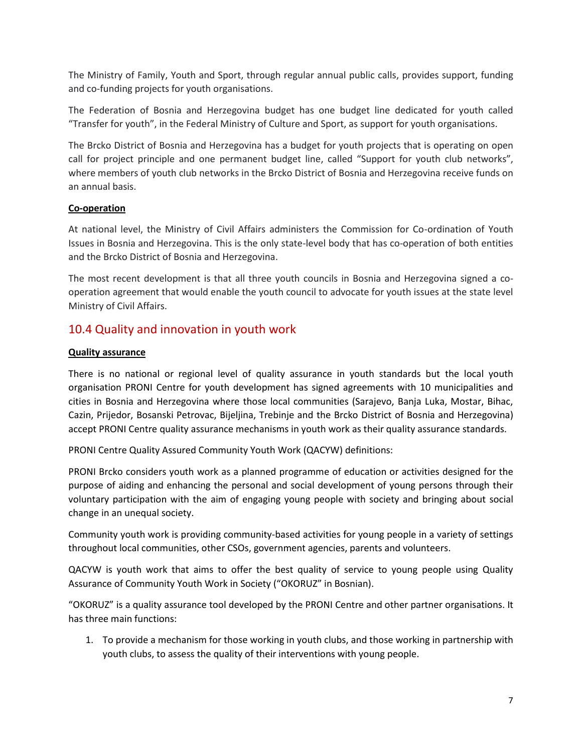The Ministry of Family, Youth and Sport, through regular annual public calls, provides support, funding and co-funding projects for youth organisations.

The Federation of Bosnia and Herzegovina budget has one budget line dedicated for youth called "Transfer for youth", in the Federal Ministry of Culture and Sport, as support for youth organisations.

The Brcko District of Bosnia and Herzegovina has a budget for youth projects that is operating on open call for project principle and one permanent budget line, called "Support for youth club networks", where members of youth club networks in the Brcko District of Bosnia and Herzegovina receive funds on an annual basis.

#### **Co-operation**

At national level, the Ministry of Civil Affairs administers the Commission for Co-ordination of Youth Issues in Bosnia and Herzegovina. This is the only state-level body that has co-operation of both entities and the Brcko District of Bosnia and Herzegovina.

The most recent development is that all three youth councils in Bosnia and Herzegovina signed a cooperation agreement that would enable the youth council to advocate for youth issues at the state level Ministry of Civil Affairs.

# 10.4 Quality and innovation in youth work

#### **Quality assurance**

There is no national or regional level of quality assurance in youth standards but the local youth organisation PRONI Centre for youth development has signed agreements with 10 municipalities and cities in Bosnia and Herzegovina where those local communities (Sarajevo, Banja Luka, Mostar, Bihac, Cazin, Prijedor, Bosanski Petrovac, Bijeljina, Trebinje and the Brcko District of Bosnia and Herzegovina) accept PRONI Centre quality assurance mechanisms in youth work as their quality assurance standards.

PRONI Centre Quality Assured Community Youth Work (QACYW) definitions:

PRONI Brcko considers youth work as a planned programme of education or activities designed for the purpose of aiding and enhancing the personal and social development of young persons through their voluntary participation with the aim of engaging young people with society and bringing about social change in an unequal society.

Community youth work is providing community-based activities for young people in a variety of settings throughout local communities, other CSOs, government agencies, parents and volunteers.

QACYW is youth work that aims to offer the best quality of service to young people using Quality Assurance of Community Youth Work in Society ("OKORUZ" in Bosnian).

"OKORUZ" is a quality assurance tool developed by the PRONI Centre and other partner organisations. It has three main functions:

1. To provide a mechanism for those working in youth clubs, and those working in partnership with youth clubs, to assess the quality of their interventions with young people.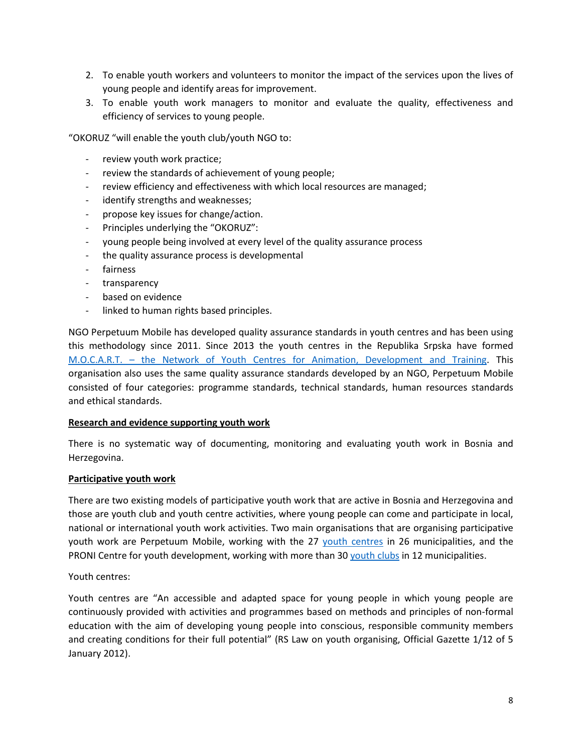- 2. To enable youth workers and volunteers to monitor the impact of the services upon the lives of young people and identify areas for improvement.
- 3. To enable youth work managers to monitor and evaluate the quality, effectiveness and efficiency of services to young people.

"OKORUZ "will enable the youth club/youth NGO to:

- review youth work practice;
- review the standards of achievement of young people;
- review efficiency and effectiveness with which local resources are managed;
- identify strengths and weaknesses;
- propose key issues for change/action.
- Principles underlying the "OKORUZ":
- young people being involved at every level of the quality assurance process
- the quality assurance process is developmental
- fairness
- transparency
- based on evidence
- linked to human rights based principles.

NGO Perpetuum Mobile has developed quality assurance standards in youth centres and has been using this methodology since 2011. Since 2013 the youth centres in the Republika Srpska have formed M.O.C.A.R.T. – the Network of Youth Centres [for Animation, Development and Training.](http://www.pm.rs.ba/m-o-c-a-r-t/) This organisation also uses the same quality assurance standards developed by an NGO, Perpetuum Mobile consisted of four categories: programme standards, technical standards, human resources standards and ethical standards.

#### **Research and evidence supporting youth work**

There is no systematic way of documenting, monitoring and evaluating youth work in Bosnia and Herzegovina.

#### **Participative youth work**

There are two existing models of participative youth work that are active in Bosnia and Herzegovina and those are youth club and youth centre activities, where young people can come and participate in local, national or international youth work activities. Two main organisations that are organising participative youth work are Perpetuum Mobile, working with the 27 [youth centres](http://www.pm.rs.ba/programi/omladinski-rad/omladinski-centri/) in 26 municipalities, and the PRONI Centre for youth development, working with more than 3[0 youth clubs](http://omladinskiklubovi.ba/) in 12 municipalities.

Youth centres:

Youth centres are "An accessible and adapted space for young people in which young people are continuously provided with activities and programmes based on methods and principles of non-formal education with the aim of developing young people into conscious, responsible community members and creating conditions for their full potential" (RS Law on youth organising, Official Gazette 1/12 of 5 January 2012).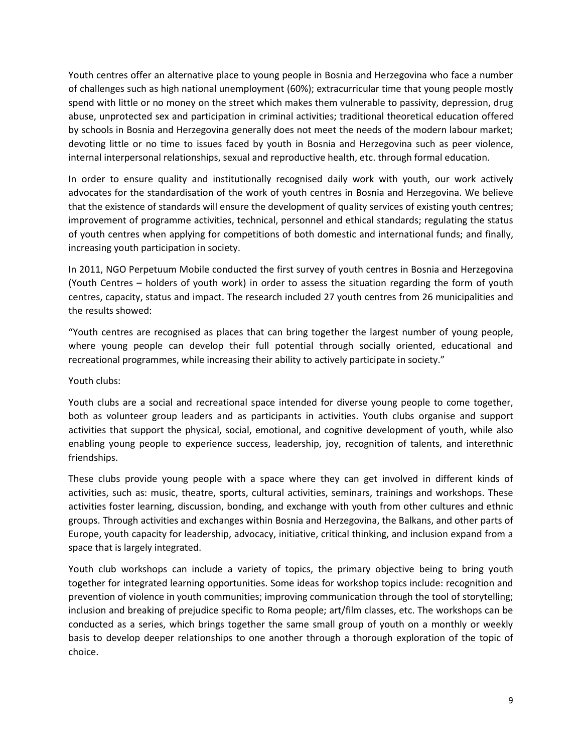Youth centres offer an alternative place to young people in Bosnia and Herzegovina who face a number of challenges such as high national unemployment (60%); extracurricular time that young people mostly spend with little or no money on the street which makes them vulnerable to passivity, depression, drug abuse, unprotected sex and participation in criminal activities; traditional theoretical education offered by schools in Bosnia and Herzegovina generally does not meet the needs of the modern labour market; devoting little or no time to issues faced by youth in Bosnia and Herzegovina such as peer violence, internal interpersonal relationships, sexual and reproductive health, etc. through formal education.

In order to ensure quality and institutionally recognised daily work with youth, our work actively advocates for the standardisation of the work of youth centres in Bosnia and Herzegovina. We believe that the existence of standards will ensure the development of quality services of existing youth centres; improvement of programme activities, technical, personnel and ethical standards; regulating the status of youth centres when applying for competitions of both domestic and international funds; and finally, increasing youth participation in society.

In 2011, NGO Perpetuum Mobile conducted the first survey of youth centres in Bosnia and Herzegovina (Youth Centres – holders of youth work) in order to assess the situation regarding the form of youth centres, capacity, status and impact. The research included 27 youth centres from 26 municipalities and the results showed:

"Youth centres are recognised as places that can bring together the largest number of young people, where young people can develop their full potential through socially oriented, educational and recreational programmes, while increasing their ability to actively participate in society."

Youth clubs:

Youth clubs are a social and recreational space intended for diverse young people to come together, both as volunteer group leaders and as participants in activities. Youth clubs organise and support activities that support the physical, social, emotional, and cognitive development of youth, while also enabling young people to experience success, leadership, joy, recognition of talents, and interethnic friendships.

These clubs provide young people with a space where they can get involved in different kinds of activities, such as: music, theatre, sports, cultural activities, seminars, trainings and workshops. These activities foster learning, discussion, bonding, and exchange with youth from other cultures and ethnic groups. Through activities and exchanges within Bosnia and Herzegovina, the Balkans, and other parts of Europe, youth capacity for leadership, advocacy, initiative, critical thinking, and inclusion expand from a space that is largely integrated.

Youth club workshops can include a variety of topics, the primary objective being to bring youth together for integrated learning opportunities. Some ideas for workshop topics include: recognition and prevention of violence in youth communities; improving communication through the tool of storytelling; inclusion and breaking of prejudice specific to Roma people; art/film classes, etc. The workshops can be conducted as a series, which brings together the same small group of youth on a monthly or weekly basis to develop deeper relationships to one another through a thorough exploration of the topic of choice.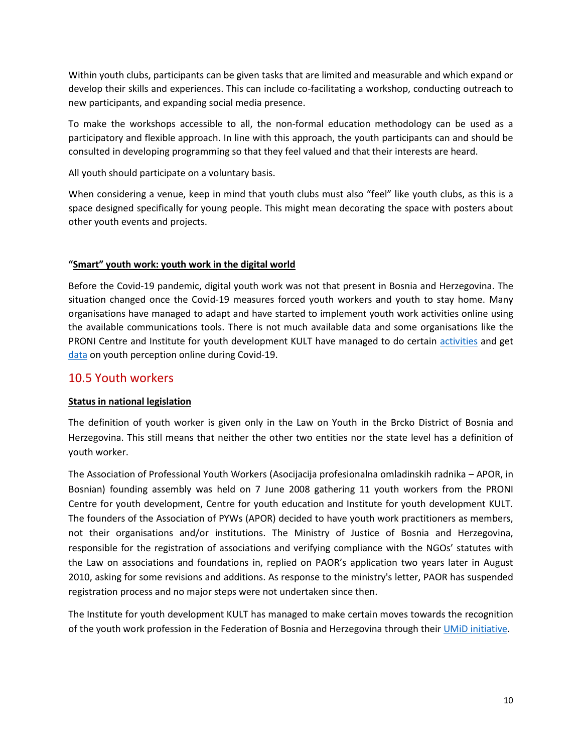Within youth clubs, participants can be given tasks that are limited and measurable and which expand or develop their skills and experiences. This can include co-facilitating a workshop, conducting outreach to new participants, and expanding social media presence.

To make the workshops accessible to all, the non-formal education methodology can be used as a participatory and flexible approach. In line with this approach, the youth participants can and should be consulted in developing programming so that they feel valued and that their interests are heard.

All youth should participate on a voluntary basis.

When considering a venue, keep in mind that youth clubs must also "feel" like youth clubs, as this is a space designed specifically for young people. This might mean decorating the space with posters about other youth events and projects.

#### **"Smart" youth work: youth work in the digital world**

Before the Covid-19 pandemic, digital youth work was not that present in Bosnia and Herzegovina. The situation changed once the Covid-19 measures forced youth workers and youth to stay home. Many organisations have managed to adapt and have started to implement youth work activities online using the available communications tools. There is not much available data and some organisations like the PRONI Centre and Institute for youth development KULT have managed to do certain [activities](http://youthexpressnetwork.org/youth-work-pandemic-bosnia-and-herzegovi/) and get [data](https://mladi.org/v2/bs/resursi/riznica-znanja/vijesti/8538-rezultati-istrazivanja-utjecaj-pandemije-covid-19-na-mlade) on youth perception online during Covid-19.

### 10.5 Youth workers

#### **Status in national legislation**

The definition of youth worker is given only in the Law on Youth in the Brcko District of Bosnia and Herzegovina. This still means that neither the other two entities nor the state level has a definition of youth worker.

The Association of Professional Youth Workers (Asocijacija profesionalna omladinskih radnika – APOR, in Bosnian) founding assembly was held on 7 June 2008 gathering 11 youth workers from the PRONI Centre for youth development, Centre for youth education and Institute for youth development KULT. The founders of the Association of PYWs (APOR) decided to have youth work practitioners as members, not their organisations and/or institutions. The Ministry of Justice of Bosnia and Herzegovina, responsible for the registration of associations and verifying compliance with the NGOs' statutes with the Law on associations and foundations in, replied on PAOR's application two years later in August 2010, asking for some revisions and additions. As response to the ministry's letter, PAOR has suspended registration process and no major steps were not undertaken since then.

The Institute for youth development KULT has managed to make certain moves towards the recognition of the youth work profession in the Federation of Bosnia and Herzegovina through thei[r UMiD initiative.](http://mladi.org/v2/en/projects/2/youth-workers/177-youth-workers)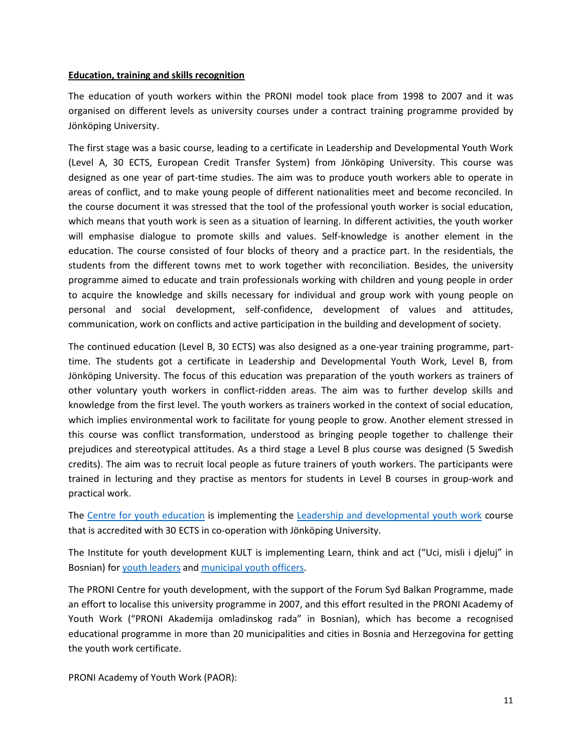#### **Education, training and skills recognition**

The education of youth workers within the PRONI model took place from 1998 to 2007 and it was organised on different levels as university courses under a contract training programme provided by Jönköping University.

The first stage was a basic course, leading to a certificate in Leadership and Developmental Youth Work (Level A, 30 ECTS, European Credit Transfer System) from Jönköping University. This course was designed as one year of part-time studies. The aim was to produce youth workers able to operate in areas of conflict, and to make young people of different nationalities meet and become reconciled. In the course document it was stressed that the tool of the professional youth worker is social education, which means that youth work is seen as a situation of learning. In different activities, the youth worker will emphasise dialogue to promote skills and values. Self-knowledge is another element in the education. The course consisted of four blocks of theory and a practice part. In the residentials, the students from the different towns met to work together with reconciliation. Besides, the university programme aimed to educate and train professionals working with children and young people in order to acquire the knowledge and skills necessary for individual and group work with young people on personal and social development, self-confidence, development of values and attitudes, communication, work on conflicts and active participation in the building and development of society.

The continued education (Level B, 30 ECTS) was also designed as a one-year training programme, parttime. The students got a certificate in Leadership and Developmental Youth Work, Level B, from Jönköping University. The focus of this education was preparation of the youth workers as trainers of other voluntary youth workers in conflict-ridden areas. The aim was to further develop skills and knowledge from the first level. The youth workers as trainers worked in the context of social education, which implies environmental work to facilitate for young people to grow. Another element stressed in this course was conflict transformation, understood as bringing people together to challenge their prejudices and stereotypical attitudes. As a third stage a Level B plus course was designed (5 Swedish credits). The aim was to recruit local people as future trainers of youth workers. The participants were trained in lecturing and they practise as mentors for students in Level B courses in group-work and practical work.

The Centre [for youth education](http://cem.ba/) is implementing the [Leadership and developmental youth work](https://cem.ba/liderstvo-i-razvojni-omladinski-rad-u-zajednici/) course that is accredited with 30 ECTS in co-operation with Jönköping University.

The Institute for youth development KULT is implementing Learn, think and act ("Uci, misli i djeluj" in Bosnian) fo[r youth leaders](http://mladi.org/v2/en/projects/2/youth-workers/177-youth-workers) an[d municipal youth officers.](http://mladi.org/v2/en/projects/2/training-certification-youth-officers/187-training-and-certification-of-youth-officers)

The PRONI Centre for youth development, with the support of the Forum Syd Balkan Programme, made an effort to localise this university programme in 2007, and this effort resulted in the PRONI Academy of Youth Work ("PRONI Akademija omladinskog rada" in Bosnian), which has become a recognised educational programme in more than 20 municipalities and cities in Bosnia and Herzegovina for getting the youth work certificate.

PRONI Academy of Youth Work (PAOR):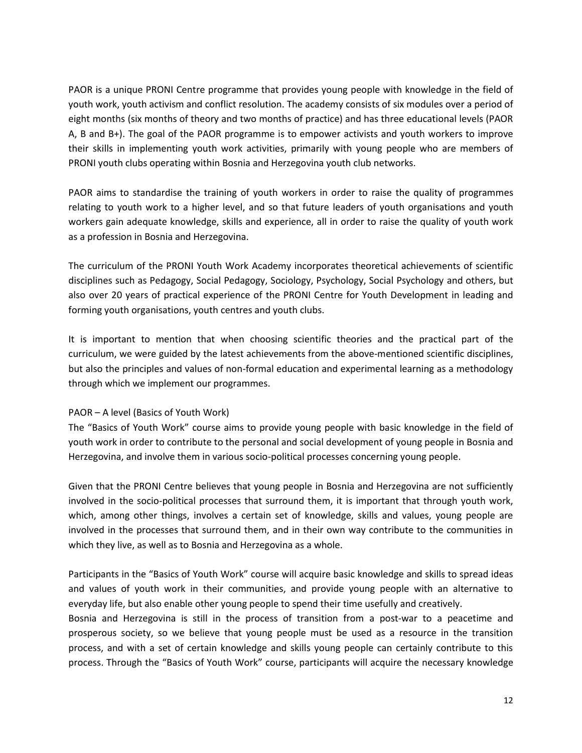PAOR is a unique PRONI Centre programme that provides young people with knowledge in the field of youth work, youth activism and conflict resolution. The academy consists of six modules over a period of eight months (six months of theory and two months of practice) and has three educational levels (PAOR A, B and B+). The goal of the PAOR programme is to empower activists and youth workers to improve their skills in implementing youth work activities, primarily with young people who are members of PRONI youth clubs operating within Bosnia and Herzegovina youth club networks.

PAOR aims to standardise the training of youth workers in order to raise the quality of programmes relating to youth work to a higher level, and so that future leaders of youth organisations and youth workers gain adequate knowledge, skills and experience, all in order to raise the quality of youth work as a profession in Bosnia and Herzegovina.

The curriculum of the PRONI Youth Work Academy incorporates theoretical achievements of scientific disciplines such as Pedagogy, Social Pedagogy, Sociology, Psychology, Social Psychology and others, but also over 20 years of practical experience of the PRONI Centre for Youth Development in leading and forming youth organisations, youth centres and youth clubs.

It is important to mention that when choosing scientific theories and the practical part of the curriculum, we were guided by the latest achievements from the above-mentioned scientific disciplines, but also the principles and values of non-formal education and experimental learning as a methodology through which we implement our programmes.

#### PAOR – A level (Basics of Youth Work)

The "Basics of Youth Work" course aims to provide young people with basic knowledge in the field of youth work in order to contribute to the personal and social development of young people in Bosnia and Herzegovina, and involve them in various socio-political processes concerning young people.

Given that the PRONI Centre believes that young people in Bosnia and Herzegovina are not sufficiently involved in the socio-political processes that surround them, it is important that through youth work, which, among other things, involves a certain set of knowledge, skills and values, young people are involved in the processes that surround them, and in their own way contribute to the communities in which they live, as well as to Bosnia and Herzegovina as a whole.

Participants in the "Basics of Youth Work" course will acquire basic knowledge and skills to spread ideas and values of youth work in their communities, and provide young people with an alternative to everyday life, but also enable other young people to spend their time usefully and creatively.

Bosnia and Herzegovina is still in the process of transition from a post-war to a peacetime and prosperous society, so we believe that young people must be used as a resource in the transition process, and with a set of certain knowledge and skills young people can certainly contribute to this process. Through the "Basics of Youth Work" course, participants will acquire the necessary knowledge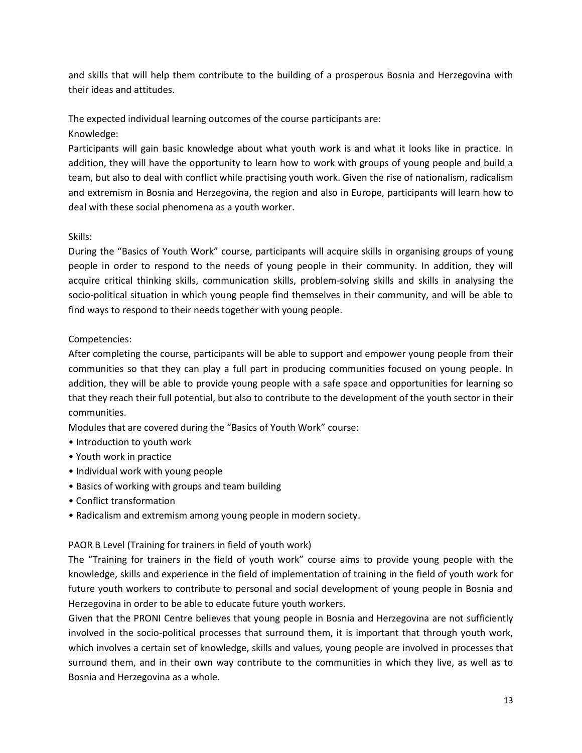and skills that will help them contribute to the building of a prosperous Bosnia and Herzegovina with their ideas and attitudes.

The expected individual learning outcomes of the course participants are: Knowledge:

Participants will gain basic knowledge about what youth work is and what it looks like in practice. In addition, they will have the opportunity to learn how to work with groups of young people and build a team, but also to deal with conflict while practising youth work. Given the rise of nationalism, radicalism and extremism in Bosnia and Herzegovina, the region and also in Europe, participants will learn how to deal with these social phenomena as a youth worker.

#### Skills:

During the "Basics of Youth Work" course, participants will acquire skills in organising groups of young people in order to respond to the needs of young people in their community. In addition, they will acquire critical thinking skills, communication skills, problem-solving skills and skills in analysing the socio-political situation in which young people find themselves in their community, and will be able to find ways to respond to their needs together with young people.

#### Competencies:

After completing the course, participants will be able to support and empower young people from their communities so that they can play a full part in producing communities focused on young people. In addition, they will be able to provide young people with a safe space and opportunities for learning so that they reach their full potential, but also to contribute to the development of the youth sector in their communities.

Modules that are covered during the "Basics of Youth Work" course:

- Introduction to youth work
- Youth work in practice
- Individual work with young people
- Basics of working with groups and team building
- Conflict transformation
- Radicalism and extremism among young people in modern society.

#### PAOR B Level (Training for trainers in field of youth work)

The "Training for trainers in the field of youth work" course aims to provide young people with the knowledge, skills and experience in the field of implementation of training in the field of youth work for future youth workers to contribute to personal and social development of young people in Bosnia and Herzegovina in order to be able to educate future youth workers.

Given that the PRONI Centre believes that young people in Bosnia and Herzegovina are not sufficiently involved in the socio-political processes that surround them, it is important that through youth work, which involves a certain set of knowledge, skills and values, young people are involved in processes that surround them, and in their own way contribute to the communities in which they live, as well as to Bosnia and Herzegovina as a whole.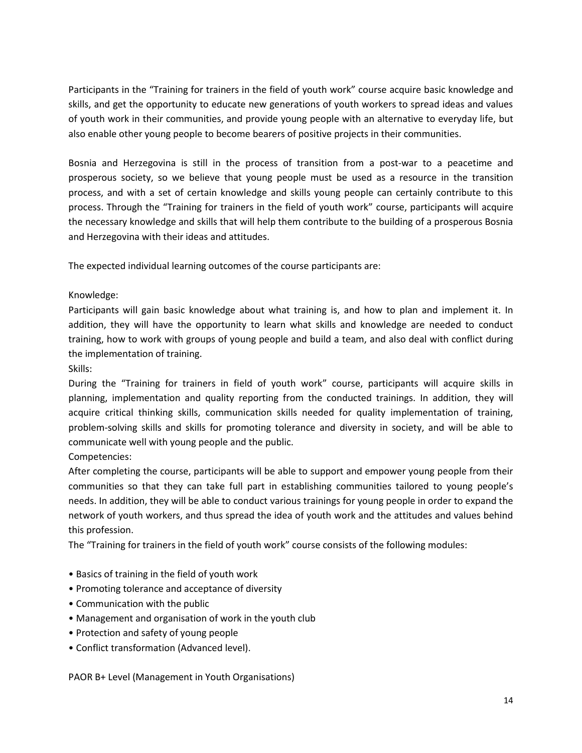Participants in the "Training for trainers in the field of youth work" course acquire basic knowledge and skills, and get the opportunity to educate new generations of youth workers to spread ideas and values of youth work in their communities, and provide young people with an alternative to everyday life, but also enable other young people to become bearers of positive projects in their communities.

Bosnia and Herzegovina is still in the process of transition from a post-war to a peacetime and prosperous society, so we believe that young people must be used as a resource in the transition process, and with a set of certain knowledge and skills young people can certainly contribute to this process. Through the "Training for trainers in the field of youth work" course, participants will acquire the necessary knowledge and skills that will help them contribute to the building of a prosperous Bosnia and Herzegovina with their ideas and attitudes.

The expected individual learning outcomes of the course participants are:

#### Knowledge:

Participants will gain basic knowledge about what training is, and how to plan and implement it. In addition, they will have the opportunity to learn what skills and knowledge are needed to conduct training, how to work with groups of young people and build a team, and also deal with conflict during the implementation of training.

Skills:

During the "Training for trainers in field of youth work" course, participants will acquire skills in planning, implementation and quality reporting from the conducted trainings. In addition, they will acquire critical thinking skills, communication skills needed for quality implementation of training, problem-solving skills and skills for promoting tolerance and diversity in society, and will be able to communicate well with young people and the public.

Competencies:

After completing the course, participants will be able to support and empower young people from their communities so that they can take full part in establishing communities tailored to young people's needs. In addition, they will be able to conduct various trainings for young people in order to expand the network of youth workers, and thus spread the idea of youth work and the attitudes and values behind this profession.

The "Training for trainers in the field of youth work" course consists of the following modules:

- Basics of training in the field of youth work
- Promoting tolerance and acceptance of diversity
- Communication with the public
- Management and organisation of work in the youth club
- Protection and safety of young people
- Conflict transformation (Advanced level).

PAOR B+ Level (Management in Youth Organisations)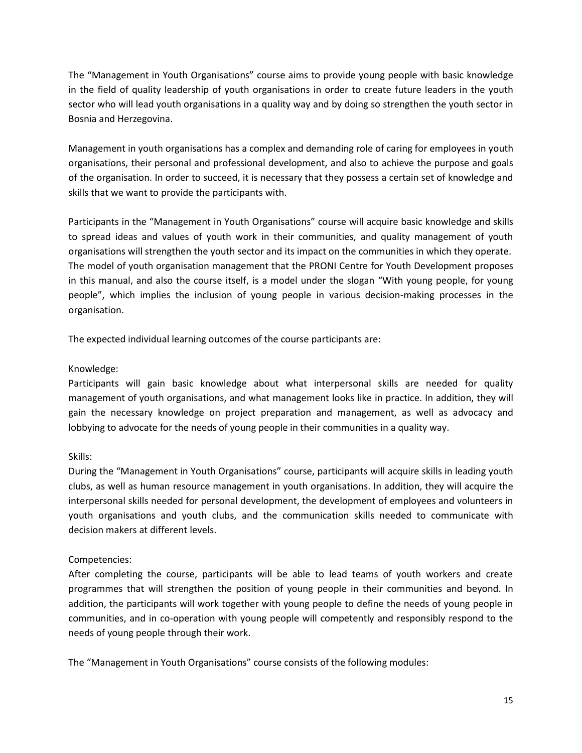The "Management in Youth Organisations" course aims to provide young people with basic knowledge in the field of quality leadership of youth organisations in order to create future leaders in the youth sector who will lead youth organisations in a quality way and by doing so strengthen the youth sector in Bosnia and Herzegovina.

Management in youth organisations has a complex and demanding role of caring for employees in youth organisations, their personal and professional development, and also to achieve the purpose and goals of the organisation. In order to succeed, it is necessary that they possess a certain set of knowledge and skills that we want to provide the participants with.

Participants in the "Management in Youth Organisations" course will acquire basic knowledge and skills to spread ideas and values of youth work in their communities, and quality management of youth organisations will strengthen the youth sector and its impact on the communities in which they operate. The model of youth organisation management that the PRONI Centre for Youth Development proposes in this manual, and also the course itself, is a model under the slogan "With young people, for young people", which implies the inclusion of young people in various decision-making processes in the organisation.

The expected individual learning outcomes of the course participants are:

#### Knowledge:

Participants will gain basic knowledge about what interpersonal skills are needed for quality management of youth organisations, and what management looks like in practice. In addition, they will gain the necessary knowledge on project preparation and management, as well as advocacy and lobbying to advocate for the needs of young people in their communities in a quality way.

#### Skills:

During the "Management in Youth Organisations" course, participants will acquire skills in leading youth clubs, as well as human resource management in youth organisations. In addition, they will acquire the interpersonal skills needed for personal development, the development of employees and volunteers in youth organisations and youth clubs, and the communication skills needed to communicate with decision makers at different levels.

#### Competencies:

After completing the course, participants will be able to lead teams of youth workers and create programmes that will strengthen the position of young people in their communities and beyond. In addition, the participants will work together with young people to define the needs of young people in communities, and in co-operation with young people will competently and responsibly respond to the needs of young people through their work.

The "Management in Youth Organisations" course consists of the following modules: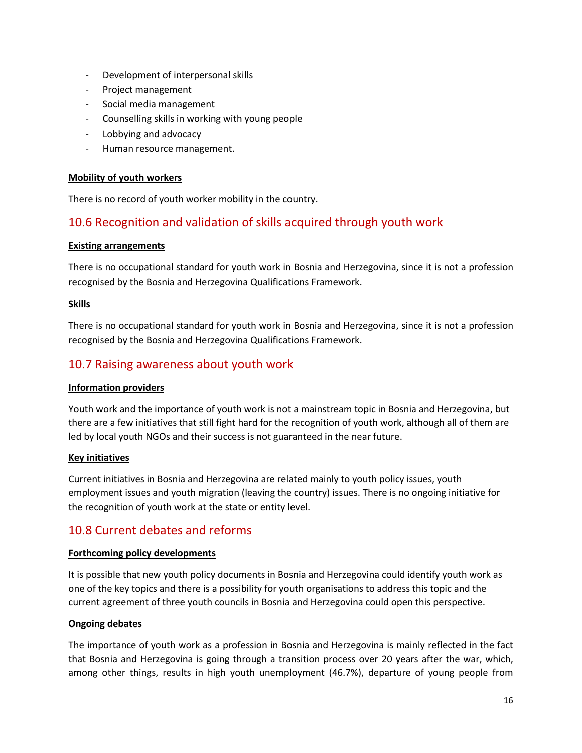- Development of interpersonal skills
- Project management
- Social media management
- Counselling skills in working with young people
- Lobbying and advocacy
- Human resource management.

#### **Mobility of youth workers**

There is no record of youth worker mobility in the country.

# 10.6 Recognition and validation of skills acquired through youth work

#### **Existing arrangements**

There is no occupational standard for youth work in Bosnia and Herzegovina, since it is not a profession recognised by the Bosnia and Herzegovina Qualifications Framework.

#### **Skills**

There is no occupational standard for youth work in Bosnia and Herzegovina, since it is not a profession recognised by the Bosnia and Herzegovina Qualifications Framework.

### 10.7 Raising awareness about youth work

#### **Information providers**

Youth work and the importance of youth work is not a mainstream topic in Bosnia and Herzegovina, but there are a few initiatives that still fight hard for the recognition of youth work, although all of them are led by local youth NGOs and their success is not guaranteed in the near future.

#### **Key initiatives**

Current initiatives in Bosnia and Herzegovina are related mainly to youth policy issues, youth employment issues and youth migration (leaving the country) issues. There is no ongoing initiative for the recognition of youth work at the state or entity level.

# 10.8 Current debates and reforms

#### **Forthcoming policy developments**

It is possible that new youth policy documents in Bosnia and Herzegovina could identify youth work as one of the key topics and there is a possibility for youth organisations to address this topic and the current agreement of three youth councils in Bosnia and Herzegovina could open this perspective.

#### **Ongoing debates**

The importance of youth work as a profession in Bosnia and Herzegovina is mainly reflected in the fact that Bosnia and Herzegovina is going through a transition process over 20 years after the war, which, among other things, results in high youth unemployment (46.7%), departure of young people from